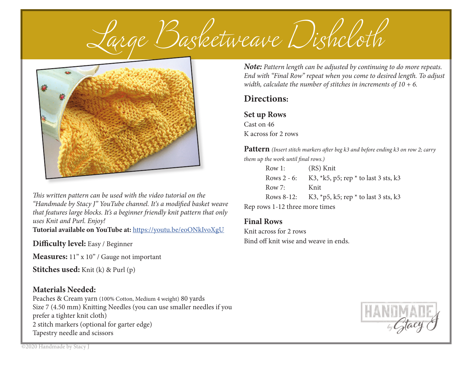*Large Ba etweave Di clo* 



*This written pattern can be used with the video tutorial on the* "Handmade by Stacy J" YouTube channel. It's a modified basket weave *that features large blocks. It's a beginner friendly knit pattern that only uses Knit and Purl. Enjoy!*

**Tutorial available on YouTube at:** https://youtu.be/eoONkIvoXgU

## **Difficulty level:** Easy / Beginner

**Measures:** 11" x 10" / Gauge not important

**Stitches used:** Knit (k) & Purl (p)

## **Materials Needed:**

Peaches & Cream yarn (100% Cotton, Medium 4 weight) 80 yards Size 7 (4.50 mm) Knitting Needles (you can use smaller needles if you prefer a tighter knit cloth) 2 stitch markers (optional for garter edge) Tapestry needle and scissors

*Note: Pattern length can be adjusted by continuing to do more repeats. End with "Final Row" repeat when you come to desired length. To adjust width, calculate the number of stitches in increments of 10 + 6.*

## **Directions:**

**Set up Rows** Cast on 46 K across for 2 rows

**Pattern** *(Insert stitch markers after beg k3 and before ending k3 on row 2; carry them up the work until final rows.)* 

| Row 1:         | (RS) Knit                                 |
|----------------|-------------------------------------------|
| Rows $2 - 6$ : | K3, $*k5$ , p5; rep $*$ to last 3 sts, k3 |
| Row $7:$       | Knit                                      |
| Rows 8-12:     | K3, $*$ p5, k5; rep $*$ to last 3 sts, k3 |
|                |                                           |

Rep rows 1-12 three more times

## **Final Rows**

Knit across for 2 rows Bind off knit wise and weave in ends.